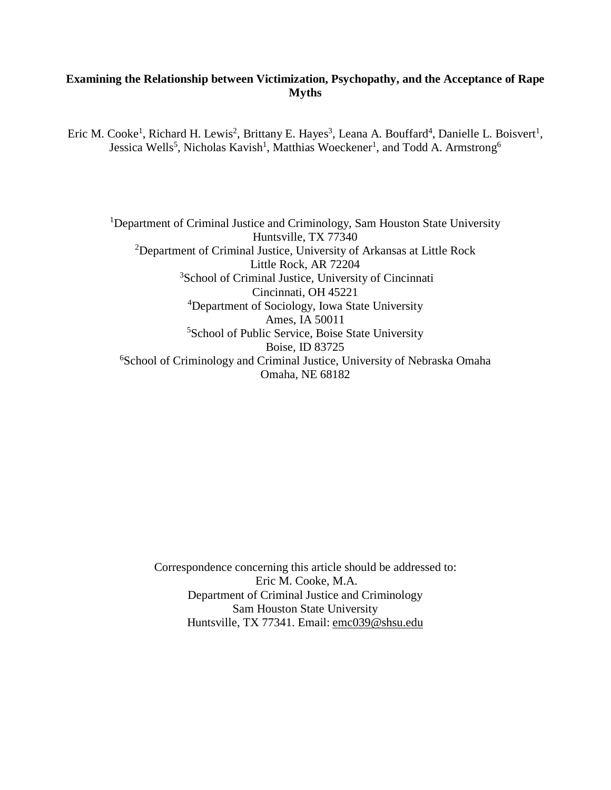# **Examining the Relationship between Victimization, Psychopathy, and the Acceptance of Rape Myths**

Eric M. Cooke<sup>1</sup>, Richard H. Lewis<sup>2</sup>, Brittany E. Hayes<sup>3</sup>, Leana A. Bouffard<sup>4</sup>, Danielle L. Boisvert<sup>1</sup>, Jessica Wells<sup>5</sup>, Nicholas Kavish<sup>1</sup>, Matthias Woeckener<sup>1</sup>, and Todd A. Armstrong<sup>6</sup>

<sup>1</sup>Department of Criminal Justice and Criminology, Sam Houston State University Huntsville, TX 77340 <sup>2</sup>Department of Criminal Justice, University of Arkansas at Little Rock Little Rock, AR 72204 <sup>3</sup>School of Criminal Justice, University of Cincinnati Cincinnati, OH 45221 4 Department of Sociology, Iowa State University Ames, IA 50011 <sup>5</sup>School of Public Service, Boise State University Boise, ID 83725 6 School of Criminology and Criminal Justice, University of Nebraska Omaha Omaha, NE 68182

> Correspondence concerning this article should be addressed to: Eric M. Cooke, M.A. Department of Criminal Justice and Criminology Sam Houston State University Huntsville, TX 77341. Email: emc039@shsu.edu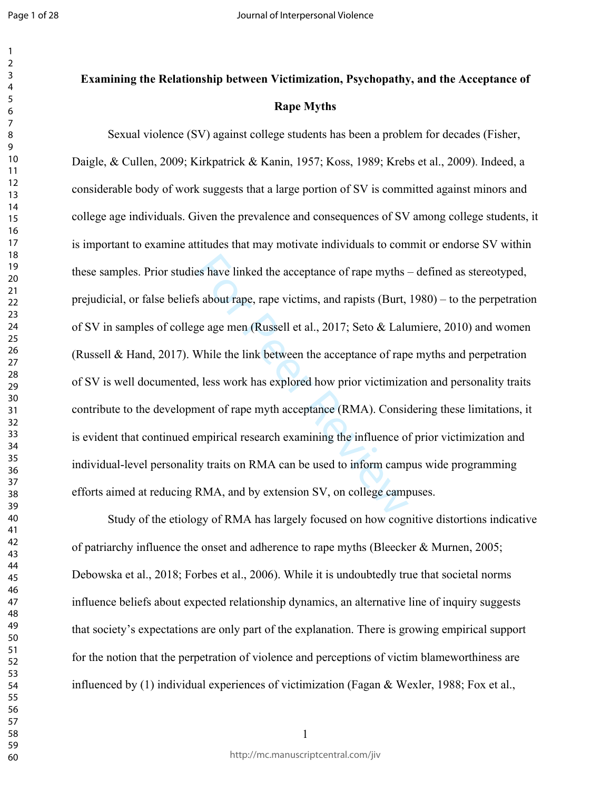#### $\mathbf{1}$   $\overline{2}$  $\overline{4}$  $\overline{7}$

# **Examining the Relationship between Victimization, Psychopathy, and the Acceptance of Rape Myths**

es have linked the acceptance of rape myths-<br>is about rape, rape victims, and rapists (Burt,<br>ge age men (Russell et al., 2017; Seto & Lalu<br>While the link between the acceptance of rape,<br>list work has explored how prior vic Sexual violence (SV) against college students has been a problem for decades (Fisher, Daigle, & Cullen, 2009; Kirkpatrick & Kanin, 1957; Koss, 1989; Krebs et al., 2009) . Indeed, a considerable body of work suggests that a large portion of SV is committed against minors and college age individuals. Given the prevalence and consequences of SV among college students, it is important to examine attitudes that may motivate individuals to commit or endorse SV within these samples. Prior studies have linked the acceptance of rape myths – defined as stereotyped, prejudicial, or false beliefs about rape, rape victims, and rapists (Burt, 1980) – to the perpetration of SV in samples of college age men (Russell et al., 2017; Seto & Lalumiere, 2010) and women (Russell & Hand, 2017). While the link between the acceptance of rape myths and perpetration of SV is well documented, less work has explored how prior victimization and personality traits contribute to the development of rape myth acceptance (RMA). Considering these limitations, it is evident that continued empirical research examining the influence of prior victimization and individual-level personality traits on RMA can be used to inform campus wide programming efforts aimed at reducing RMA, and by extension SV, on college campuses.

Study of the etiology of RMA has largely focused on how cognitive distortions indicative of patriarchy influence the onset and adherence to rape myths (Bleecker & Murnen, 2005; Debowska et al., 2018; Forbes et al., 2006). While it is undoubtedly true that societal norms influence beliefs about expected relationship dynamics, an alternative line of inquiry suggests that society's expectations are only part of the explanation. There is growing empirical support for the notion that the perpetration of violence and perceptions of victim blameworthiness are influenced by (1) individual experiences of victimization (Fagan & Wexler, 1988; Fox et al.,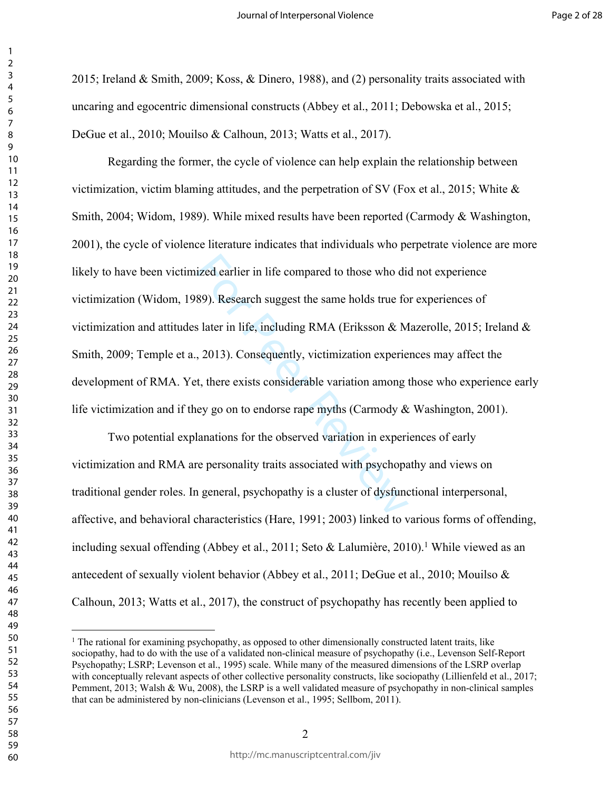2015; Ireland & Smith, 2009; Koss, & Dinero, 1988), and (2) personality traits associated with uncaring and egocentric dimensional constructs (Abbey et al., 2011; Debowska et al., 2015; DeGue et al., 2010; Mouilso & Calhoun, 2013; Watts et al., 2017).

ized earlier in life compared to those who di<br>89). Research suggest the same holds true fo<br>81 atter in life, including RMA (Eriksson & M<br>7. 2013). Consequently, victimization experie<br>1, there exists considerable variation Regarding the former, the cycle of violence can help explain the relationship between victimization, victim blaming attitudes, and the perpetration of SV (Fox et al., 2015; White  $\&$ Smith, 2004; Widom, 1989). While mixed results have been reported (Carmody & Washington, 2001), the cycle of violence literature indicates that individuals who perpetrate violence are more likely to have been victimized earlier in life compared to those who did not experience victimization (Widom, 1989). Research suggest the same holds true for experiences of victimization and attitudes later in life, including RMA (Eriksson & Mazerolle, 2015; Ireland & Smith, 2009; Temple et a., 2013). Consequently, victimization experiences may affect the development of RMA. Yet, there exists considerable variation among those who experience early life victimization and if they go on to endorse rape myths (Carmody  $&$  Washington, 2001).

Two potential explanations for the observed variation in experiences of early victimization and RMA are personality traits associated with psychopathy and views on traditional gender roles. In general, psychopathy is a cluster of dysfunctional interpersonal, affective, and behavioral characteristics (Hare, 1991; 2003) linked to various forms of offending, including sexual offending (Abbey et al., 2011; Seto & Lalumière, 2010).<sup>1</sup> While viewed as an antecedent of sexually violent behavior (Abbey et al., 2011; DeGue et al., 2010; Mouilso & Calhoun, 2013; Watts et al., 2017), the construct of psychopathy has recently been applied to

<sup>&</sup>lt;sup>1</sup> The rational for examining psychopathy, as opposed to other dimensionally constructed latent traits, like sociopathy, had to do with the use of a validated non-clinical measure of psychopathy (i.e., Levenson Self-Report Psychopathy; LSRP; Levenson et al., 1995) scale. While many of the measured dimensions of the LSRP overlap with conceptually relevant aspects of other collective personality constructs, like sociopathy (Lillienfeld et al., 2017; Pemment, 2013; Walsh & Wu, 2008), the LSRP is a well validated measure of psychopathy in non-clinical samples that can be administered by non-clinicians (Levenson et al., 1995; Sellbom, 2011).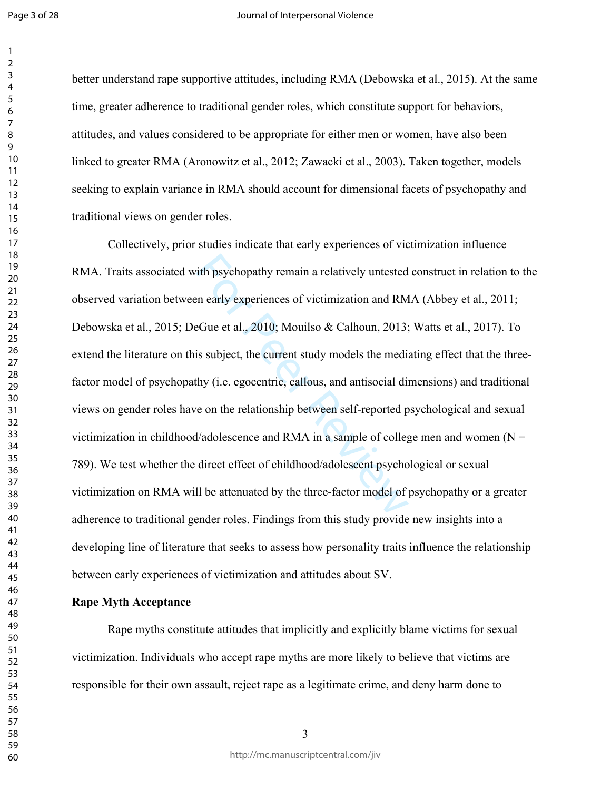better understand rape supportive attitudes, including RMA (Debowska et al., 2015). At the same time, greater adherence to traditional gender roles, which constitute support for behaviors, attitudes, and values considered to be appropriate for either men or women, have also been linked to greater RMA (Aronowitz et al., 2012; Zawacki et al., 2003). Taken together, models seeking to explain variance in RMA should account for dimensional facets of psychopathy and traditional views on gender roles.

ith psychopathy remain a relatively untested<br>en early experiences of victimization and RM<br>eGue et al., 2010; Mouilso & Calhoun, 2013;<br>is subject, the current study models the media<br>thy (i.e. egocentric, callous, and antiso Collectively, prior studies indicate that early experiences of victimization influence RMA. Traits associated with psychopathy remain a relatively untested construct in relation to the observed variation between early experiences of victimization and RMA (Abbey et al., 2011; Debowska et al., 2015; DeGue et al., 2010; Mouilso & Calhoun, 2013; Watts et al., 2017). To extend the literature on this subject, the current study models the mediating effect that the threefactor model of psychopathy (i.e. egocentric, callous, and antisocial dimensions) and traditional views on gender roles have on the relationship between self-reported psychological and sexual victimization in childhood/adolescence and RMA in a sample of college men and women ( $N =$ 789). We test whether the direct effect of childhood/adolescent psychological or sexual victimization on RMA will be attenuated by the three-factor model of psychopathy or a greater adherence to traditional gender roles. Findings from this study provide new insights into a developing line of literature that seeks to assess how personality traits influence the relationship between early experiences of victimization and attitudes about SV.

#### **Rape Myth Acceptance**

Rape myths constitute attitudes that implicitly and explicitly blame victims for sexual victimization. Individuals who accept rape myths are more likely to believe that victims are responsible for their own assault, reject rape as a legitimate crime, and deny harm done to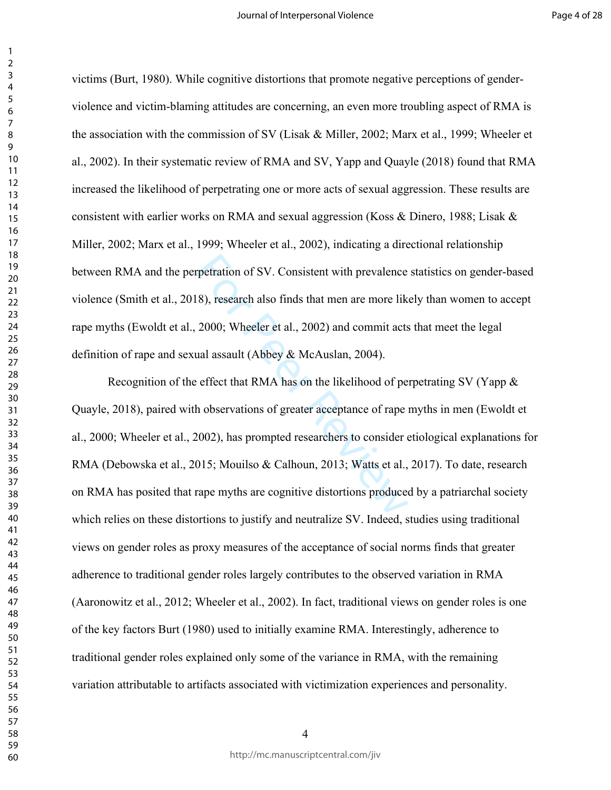victims (Burt, 1980). While cognitive distortions that promote negative perceptions of genderviolence and victim-blaming attitudes are concerning, an even more troubling aspect of RMA is the association with the commission of SV (Lisak & Miller, 2002; Marx et al., 1999; Wheeler et al., 2002). In their systematic review of RMA and SV, Yapp and Quayle (2018) found that RMA increased the likelihood of perpetrating one or more acts of sexual aggression. These results are consistent with earlier works on RMA and sexual aggression (Koss & Dinero, 1988; Lisak  $\&$ Miller, 2002; Marx et al., 1999; Wheeler et al., 2002), indicating a directional relationship between RMA and the perpetration of SV. Consistent with prevalence statistics on gender-based violence (Smith et al., 2018), research also finds that men are more likely than women to accept rape myths (Ewoldt et al., 2000; Wheeler et al., 2002) and commit acts that meet the legal definition of rape and sexual assault (Abbey & McAuslan, 2004).

repetration of SV. Consistent with prevalence<br>
8), research also finds that men are more like<br>
2000; Wheeler et al., 2002) and commit acts<br>
ual assault (Abbey & McAuslan, 2004).<br>
effect that RMA has on the likelihood of p Recognition of the effect that RMA has on the likelihood of perpetrating SV (Yapp  $\&$ Quayle, 2018), paired with observations of greater acceptance of rape myths in men (Ewoldt et al., 2000; Wheeler et al., 2002), has prompted researchers to consider etiological explanations for RMA (Debowska et al., 2015; Mouilso & Calhoun, 2013; Watts et al., 2017). To date, research on RMA has posited that rape myths are cognitive distortions produced by a patriarchal society which relies on these distortions to justify and neutralize SV. Indeed, studies using traditional views on gender roles as proxy measures of the acceptance of social norms finds that greater adherence to traditional gender roles largely contributes to the observed variation in RMA (Aaronowitz et al., 2012; Wheeler et al., 2002). In fact, traditional views on gender roles is one of the key factors Burt (1980) used to initially examine RMA. Interestingly, adherence to traditional gender roles explained only some of the variance in RMA, with the remaining variation attributable to artifacts associated with victimization experiences and personality.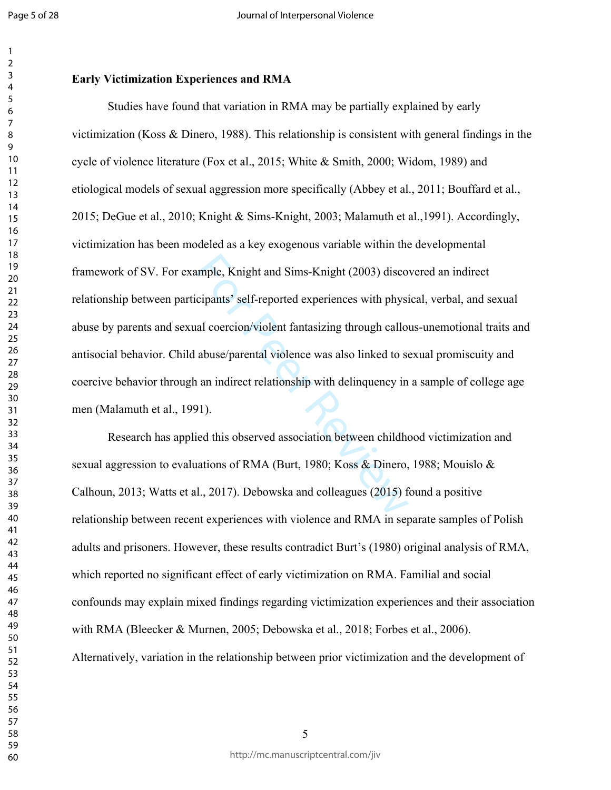## **Early Victimization Experiences and RMA**

mple, Knight and Sims-Knight (2003) disco<br>cipants' self-reported experiences with physi<br>al coercion/violent fantasizing through callo<br>abuse/parental violence was also linked to so<br>an indirect relationship with delinquency Studies have found that variation in RMA may be partially explained by early victimization (Koss & Dinero, 1988). This relationship is consistent with general findings in the cycle of violence literature (Fox et al., 2015; White & Smith, 2000; Widom, 1989) and etiological models of sexual aggression more specifically (Abbey et al., 2011; Bouffard et al., 2015; DeGue et al., 2010; Knight & Sims-Knight, 2003; Malamuth et al.,1991). Accordingly, victimization has been modeled as a key exogenous variable within the developmental framework of SV. For example, Knight and Sims-Knight (2003) discovered an indirect relationship between participants' self-reported experiences with physical, verbal, and sexual abuse by parents and sexual coercion/violent fantasizing through callous-unemotional traits and antisocial behavior. Child abuse/parental violence was also linked to sexual promiscuity and coercive behavior through an indirect relationship with delinquency in a sample of college age men (Malamuth et al., 1991).

Research has applied this observed association between childhood victimization and sexual aggression to evaluations of RMA (Burt, 1980; Koss & Dinero, 1988; Mouislo & Calhoun, 2013; Watts et al., 2017). Debowska and colleagues (2015) found a positive relationship between recent experiences with violence and RMA in separate samples of Polish adults and prisoners. However, these results contradict Burt's (1980) original analysis of RMA, which reported no significant effect of early victimization on RMA. Familial and social confounds may explain mixed findings regarding victimization experiences and their association with RMA (Bleecker & Murnen, 2005; Debowska et al., 2018; Forbes et al., 2006). Alternatively, variation in the relationship between prior victimization and the development of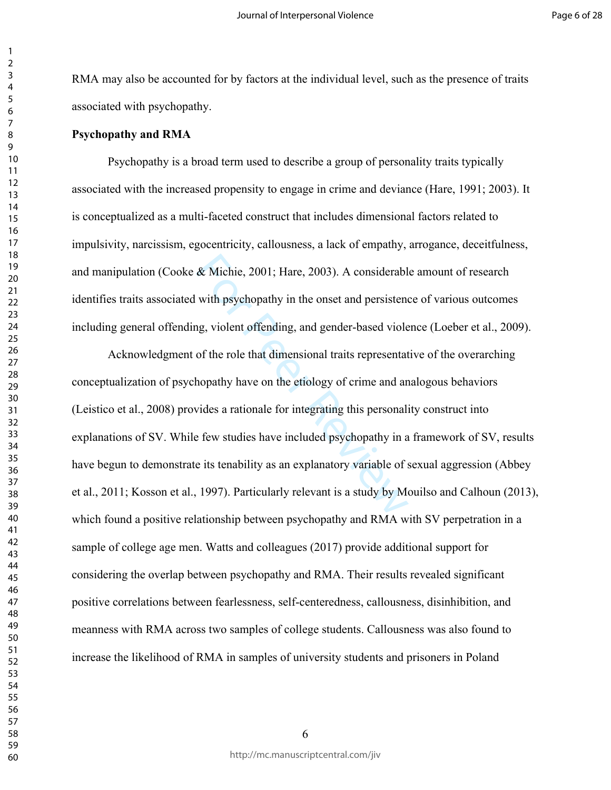RMA may also be accounted for by factors at the individual level, such as the presence of traits associated with psychopathy.

#### **Psychopathy and RMA**

Psychopathy is a broad term used to describe a group of personality traits typically associated with the increased propensity to engage in crime and deviance (Hare, 1991; 2003). It is conceptualized as a multi-faceted construct that includes dimensional factors related to impulsivity, narcissism, egocentricity, callousness, a lack of empathy, arrogance, deceitfulness, and manipulation (Cooke & Michie, 2001; Hare, 2003). A considerable amount of research identifies traits associated with psychopathy in the onset and persistence of various outcomes including general offending, violent offending, and gender-based violence (Loeber et al., 2009).

& Michie, 2001; Hare, 2003). A considerabl<br>with psychopathy in the onset and persistend<br>ng, violent offending, and gender-based viole<br>of the role that dimensional traits representat<br>hopathy have on the etiology of crime a Acknowledgment of the role that dimensional traits representative of the overarching conceptualization of psychopathy have on the etiology of crime and analogous behaviors (Leistico et al., 2008) provides a rationale for integrating this personality construct into explanations of SV. While few studies have included psychopathy in a framework of SV, results have begun to demonstrate its tenability as an explanatory variable of sexual aggression (Abbey et al., 2011; Kosson et al., 1997). Particularly relevant is a study by Mouilso and Calhoun (2013), which found a positive relationship between psychopathy and RMA with SV perpetration in a sample of college age men. Watts and colleagues (2017) provide additional support for considering the overlap between psychopathy and RMA. Their results revealed significant positive correlations between fearlessness, self-centeredness, callousness, disinhibition, and meanness with RMA across two samples of college students. Callousness was also found to increase the likelihood of RMA in samples of university students and prisoners in Poland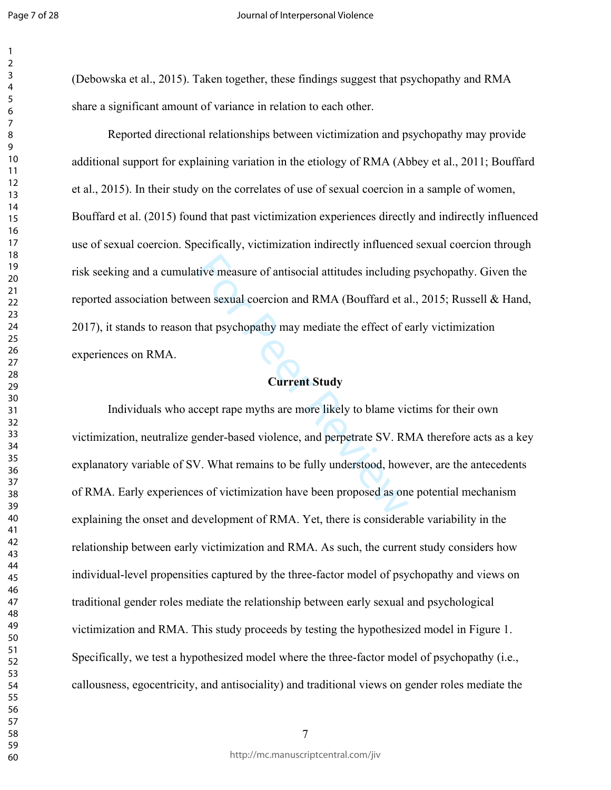(Debowska et al., 2015). Taken together, these findings suggest that psychopathy and RMA share a significant amount of variance in relation to each other.

Reported directional relationships between victimization and psychopathy may provide additional support for explaining variation in the etiology of RMA (Abbey et al., 2011; Bouffard et al., 2015). In their study on the correlates of use of sexual coercion in a sample of women, Bouffard et al. (2015) found that past victimization experiences directly and indirectly influenced use of sexual coercion. Specifically, victimization indirectly influenced sexual coercion through risk seeking and a cumulative measure of antisocial attitudes including psychopathy. Given the reported association between sexual coercion and RMA (Bouffard et al., 2015; Russell & Hand, 2017), it stands to reason that psychopathy may mediate the effect of early victimization experiences on RMA.

#### **Current Study**

tive measure of antisocial attitudes including<br>
een sexual coercion and RMA (Bouffard et a<br>
that psychopathy may mediate the effect of e<br> **Current Study**<br>
ccept rape myths are more likely to blame vio<br>
ender-based violence Individuals who accept rape myths are more likely to blame victims for their own victimization, neutralize gender-based violence, and perpetrate SV. RMA therefore acts as a key explanatory variable of SV. What remains to be fully understood, however, are the antecedents of RMA. Early experiences of victimization have been proposed as one potential mechanism explaining the onset and development of RMA. Yet, there is considerable variability in the relationship between early victimization and RMA. As such, the current study considers how individual-level propensities captured by the three-factor model of psychopathy and views on traditional gender roles mediate the relationship between early sexual and psychological victimization and RMA. This study proceeds by testing the hypothesized model in Figure 1. Specifically, we test a hypothesized model where the three-factor model of psychopathy (i.e., callousness, egocentricity, and antisociality) and traditional views on gender roles mediate the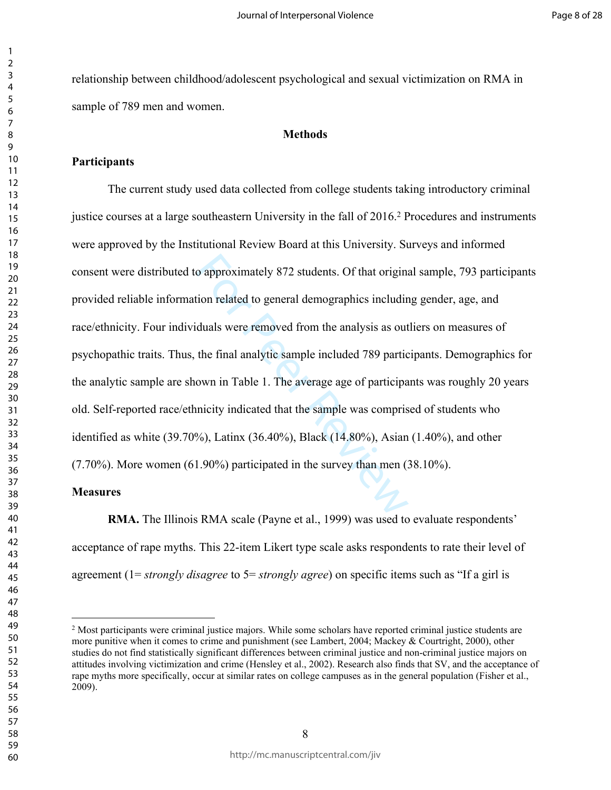relationship between childhood/adolescent psychological and sexual victimization on RMA in sample of 789 men and women.

#### **Methods**

#### **Participants**

o approximately 872 students. Of that origination related to general demographics includined<br>duals were removed from the analysis as out<br>the final analytic sample included 789 partici<br>own in Table 1. The average age of par The current study used data collected from college students taking introductory criminal justice courses at a large southeastern University in the fall of 2016.<sup>2</sup> Procedures and instruments were approved by the Institutional Review Board at this University. Surveys and informed consent were distributed to approximately 872 students. Of that original sample, 793 participants provided reliable information related to general demographics including gender, age, and race/ethnicity. Four individuals were removed from the analysis as outliers on measures of psychopathic traits. Thus, the final analytic sample included 789 participants. Demographics for the analytic sample are shown in Table 1. The average age of participants was roughly 20 years old. Self-reported race/ethnicity indicated that the sample was comprised of students who identified as white (39.70%), Latinx (36.40%), Black (14.80%), Asian (1.40%), and other (7.70%). More women (61.90%) participated in the survey than men (38.10%).

#### **Measures**

**RMA.** The Illinois RMA scale (Payne et al., 1999) was used to evaluate respondents' acceptance of rape myths. This 22-item Likert type scale asks respondents to rate their level of agreement (1= *strongly disagree* to 5= *strongly agree*) on specific items such as "If a girl is

<sup>&</sup>lt;sup>2</sup> Most participants were criminal justice majors. While some scholars have reported criminal justice students are more punitive when it comes to crime and punishment (see Lambert, 2004; Mackey & Courtright, 2000), other studies do not find statistically significant differences between criminal justice and non-criminal justice majors on attitudes involving victimization and crime (Hensley et al., 2002). Research also finds that SV, and the acceptance of rape myths more specifically, occur at similar rates on college campuses as in the general population (Fisher et al., 2009).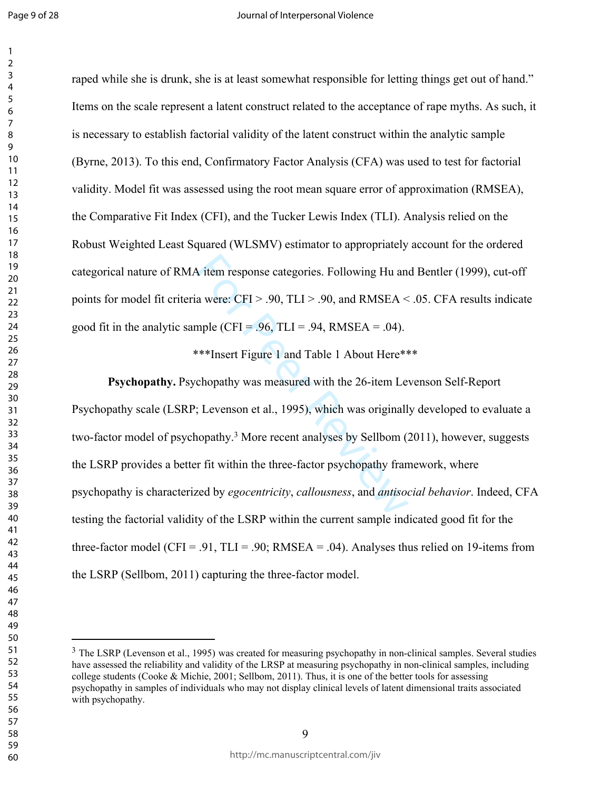raped while she is drunk, she is at least somewhat responsible for letting things get out of hand." Items on the scale represent a latent construct related to the acceptance of rape myths. As such, it is necessary to establish factorial validity of the latent construct within the analytic sample (Byrne, 2013). To this end, Confirmatory Factor Analysis (CFA) was used to test for factorial validity. Model fit was assessed using the root mean square error of approximation (RMSEA), the Comparative Fit Index (CFI), and the Tucker Lewis Index (TLI). Analysis relied on the Robust Weighted Least Squared (WLSMV) estimator to appropriately account for the ordered categorical nature of RMA item response categories. Following Hu and Bentler (1999), cut-off points for model fit criteria were: CFI > .90, TLI > .90, and RMSEA < .05. CFA results indicate good fit in the analytic sample (CFI = .96, TLI = .94, RMSEA = .04).

\*\*\*Insert Figure 1 and Table 1 About Here\*\*\*

A item response categories. Following Hu and<br>a were: CFI > .90, TLI > .90, and RMSEA <<br>mple (CFI = .96, TLI = .94, RMSEA = .04).<br>\*\*\*Insert Figure 1 and Table 1 About Here\*\*<br>chopathy was measured with the 26-item Le<br>; Leve **Psychopathy.** Psychopathy was measured with the 26-item Levenson Self-Report Psychopathy scale (LSRP; Levenson et al., 1995), which was originally developed to evaluate a two-factor model of psychopathy.<sup>3</sup> More recent analyses by Sellbom (2011), however, suggests the LSRP provides a better fit within the three-factor psychopathy framework, where psychopathy is characterized by *egocentricity*, *callousness*, and *antisocial behavior*. Indeed, CFA testing the factorial validity of the LSRP within the current sample indicated good fit for the three-factor model (CFI = .91, TLI = .90; RMSEA = .04). Analyses thus relied on 19-items from the LSRP (Sellbom, 2011) capturing the three-factor model.

<sup>&</sup>lt;sup>3</sup> The LSRP (Levenson et al., 1995) was created for measuring psychopathy in non-clinical samples. Several studies have assessed the reliability and validity of the LRSP at measuring psychopathy in non-clinical samples, including college students (Cooke & Michie, 2001; Sellbom, 2011). Thus, it is one of the better tools for assessing psychopathy in samples of individuals who may not display clinical levels of latent dimensional traits associated with psychopathy.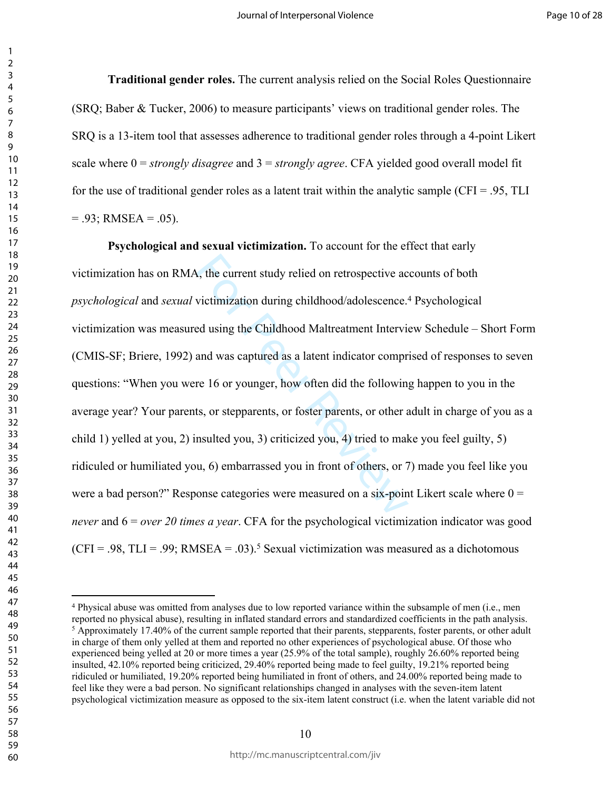**Traditional gender roles.** The current analysis relied on the Social Roles Questionnaire (SRQ; Baber & Tucker, 2006) to measure participants' views on traditional gender roles. The SRQ is a 13-item tool that assesses adherence to traditional gender roles through a 4-point Likert scale where 0 = *strongly disagree* and 3 = *strongly agree*. CFA yielded good overall model fit for the use of traditional gender roles as a latent trait within the analytic sample (CFI = .95, TLI  $= .93$ ; RMSEA  $= .05$ ).

A, the current study relied on retrospective active interval victimization during childhood/adolescence.<sup>4</sup><br>Exercised using the Childhood Maltreatment Intervies<br>and was captured as a latent indicator compreties and was cap **Psychological and sexual victimization.** To account for the effect that early victimization has on RMA, the current study relied on retrospective accounts of both *psychological* and *sexual* victimization during childhood/adolescence.<sup>4</sup> Psychological victimization was measured using the Childhood Maltreatment Interview Schedule – Short Form (CMIS-SF; Briere, 1992) and was captured as a latent indicator comprised of responses to seven questions: "When you were 16 or younger, how often did the following happen to you in the average year? Your parents, or stepparents, or foster parents, or other adult in charge of you as a child 1) yelled at you, 2) insulted you, 3) criticized you, 4) tried to make you feel guilty, 5) ridiculed or humiliated you, 6) embarrassed you in front of others, or 7) made you feel like you were a bad person?" Response categories were measured on a six-point Likert scale where  $0 =$ *never* and 6 = *over 20 times a year*. CFA for the psychological victimization indicator was good  $(CFI = .98, TLI = .99; RMSEA = .03).$ <sup>5</sup> Sexual victimization was measured as a dichotomous

 Physical abuse was omitted from analyses due to low reported variance within the subsample of men (i.e., men reported no physical abuse), resulting in inflated standard errors and standardized coefficients in the path analysis. <sup>5</sup> Approximately 17.40% of the current sample reported that their parents, stepparents, foster parents, or other adult in charge of them only yelled at them and reported no other experiences of psychological abuse. Of those who experienced being yelled at 20 or more times a year (25.9% of the total sample), roughly 26.60% reported being insulted, 42.10% reported being criticized, 29.40% reported being made to feel guilty, 19.21% reported being ridiculed or humiliated, 19.20% reported being humiliated in front of others, and 24.00% reported being made to feel like they were a bad person. No significant relationships changed in analyses with the seven-item latent psychological victimization measure as opposed to the six-item latent construct (i.e. when the latent variable did not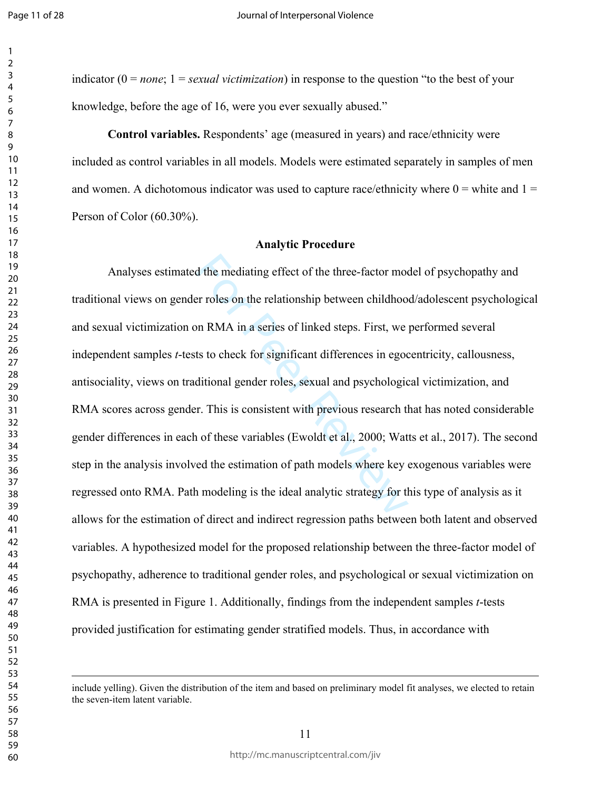indicator (0 = *none*; 1 = *sexual victimization*) in response to the question "to the best of your knowledge, before the age of 16, were you ever sexually abused."

**Control variables.** Respondents' age (measured in years) and race/ethnicity were included as control variables in all models. Models were estimated separately in samples of men and women. A dichotomous indicator was used to capture race/ethnicity where  $0 =$  white and  $1 =$ Person of Color (60.30%).

#### **Analytic Procedure**

d the mediating effect of the three-factor model and the relationship between childhood on RMA in a series of linked steps. First, we are to check for significant differences in egoditional gender roles, sexual and psychol Analyses estimated the mediating effect of the three-factor model of psychopathy and traditional views on gender roles on the relationship between childhood/adolescent psychological and sexual victimization on RMA in a series of linked steps. First, we performed several independent samples *t*-tests to check for significant differences in egocentricity, callousness, antisociality, views on traditional gender roles, sexual and psychological victimization, and RMA scores across gender. This is consistent with previous research that has noted considerable gender differences in each of these variables (Ewoldt et al., 2000; Watts et al., 2017). The second step in the analysis involved the estimation of path models where key exogenous variables were regressed onto RMA. Path modeling is the ideal analytic strategy for this type of analysis as it allows for the estimation of direct and indirect regression paths between both latent and observed variables. A hypothesized model for the proposed relationship between the three-factor model of psychopathy, adherence to traditional gender roles, and psychological or sexual victimization on RMA is presented in Figure 1. Additionally, findings from the independent samples *t*-tests provided justification for estimating gender stratified models. Thus, in accordance with

include yelling). Given the distribution of the item and based on preliminary model fit analyses, we elected to retain the seven-item latent variable.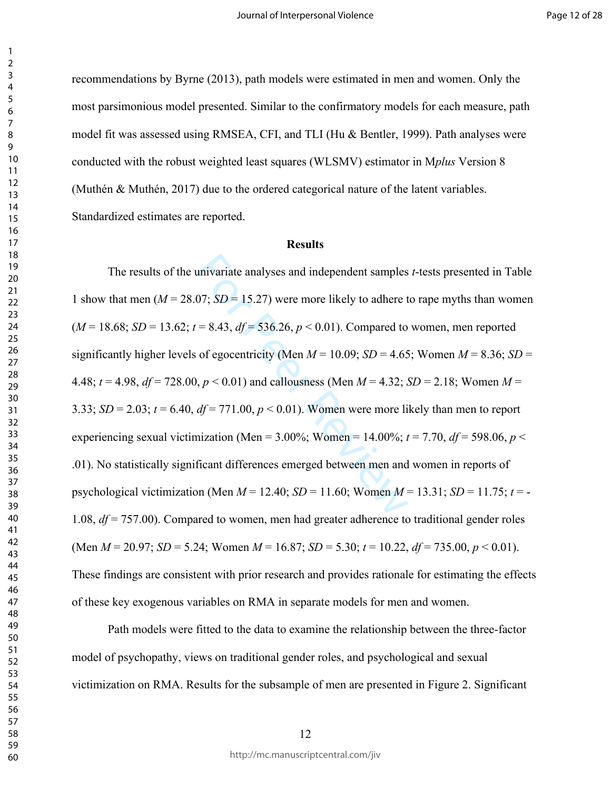recommendations by Byrne (2013), path models were estimated in men and women. Only the most parsimonious model presented. Similar to the confirmatory models for each measure, path model fit was assessed using RMSEA, CFI, and TLI (Hu & Bentler, 1999). Path analyses were conducted with the robust weighted least squares (WLSMV) estimator in M*plus* Version 8 (Muthén & Muthén, 2017) due to the ordered categorical nature of the latent variables. Standardized estimates are reported.

### **Results**

univariate analyses and independent samples<br>07;  $SD = 15.27$ ) were more likely to adhere t<br>= 8.43,  $df = 536.26$ ,  $p < 0.01$ ). Compared to<br>of egocentricity (Men  $M = 10.09$ ;  $SD = 4.65$ <br>0,  $p < 0.01$ ) and callousness (Men  $M = 4.32$ The results of the univariate analyses and independent samples *t*-tests presented in Table 1 show that men ( $M = 28.07$ ;  $SD = 15.27$ ) were more likely to adhere to rape myths than women  $(M = 18.68; SD = 13.62; t = 8.43, df = 536.26, p < 0.01)$ . Compared to women, men reported significantly higher levels of egocentricity (Men  $M = 10.09$ ;  $SD = 4.65$ ; Women  $M = 8.36$ ;  $SD =$ 4.48;  $t = 4.98$ ,  $df = 728.00$ ,  $p < 0.01$ ) and callousness (Men  $M = 4.32$ ;  $SD = 2.18$ ; Women  $M =$ 3.33;  $SD = 2.03$ ;  $t = 6.40$ ,  $df = 771.00$ ,  $p < 0.01$ ). Women were more likely than men to report experiencing sexual victimization (Men =  $3.00\%$ ; Women =  $14.00\%$ ;  $t = 7.70$ ,  $df = 598.06$ ,  $p <$ .01). No statistically significant differences emerged between men and women in reports of psychological victimization (Men *M* = 12.40; *SD* = 11.60; Women *M* = 13.31; *SD* = 11.75; *t* = - 1.08, *df* = 757.00). Compared to women, men had greater adherence to traditional gender roles (Men  $M = 20.97$ ; *SD* = 5.24; Women  $M = 16.87$ ; *SD* = 5.30;  $t = 10.22$ ,  $df = 735.00$ ,  $p < 0.01$ ). These findings are consistent with prior research and provides rationale for estimating the effects of these key exogenous variables on RMA in separate models for men and women.

Path models were fitted to the data to examine the relationship between the three-factor model of psychopathy, views on traditional gender roles, and psychological and sexual victimization on RMA. Results for the subsample of men are presented in Figure 2. Significant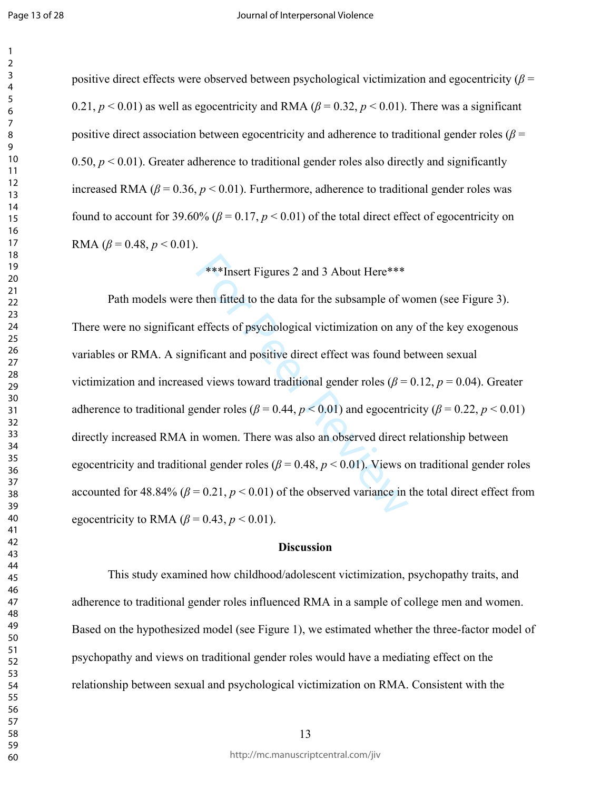positive direct effects were observed between psychological victimization and egocentricity ( $\beta$  = 0.21,  $p < 0.01$ ) as well as egocentricity and RMA ( $\beta = 0.32$ ,  $p < 0.01$ ). There was a significant positive direct association between egocentricity and adherence to traditional gender roles ( $\beta$  =  $0.50, p \le 0.01$ ). Greater adherence to traditional gender roles also directly and significantly increased RMA ( $\beta$  = 0.36,  $p$  < 0.01). Furthermore, adherence to traditional gender roles was found to account for 39.60% ( $\beta$  = 0.17,  $p$  < 0.01) of the total direct effect of egocentricity on RMA  $(\beta = 0.48, p < 0.01)$ .

# \*\*\*Insert Figures 2 and 3 About Here\*\*\*

\*\*\*Insert Figures 2 and 3 About Here\*\*\*<br>then fitted to the data for the subsample of w<br>effects of psychological victimization on any<br>ificant and positive direct effect was found b<br>d views toward traditional gender roles ( Path models were then fitted to the data for the subsample of women (see Figure 3). There were no significant effects of psychological victimization on any of the key exogenous variables or RMA. A significant and positive direct effect was found between sexual victimization and increased views toward traditional gender roles ( $\beta$  = 0.12,  $p$  = 0.04). Greater adherence to traditional gender roles ( $\beta$  = 0.44,  $p$  < 0.01) and egocentricity ( $\beta$  = 0.22,  $p$  < 0.01) directly increased RMA in women. There was also an observed direct relationship between egocentricity and traditional gender roles ( $\beta$  = 0.48,  $p$  < 0.01). Views on traditional gender roles accounted for  $48.84\%$  ( $\beta = 0.21$ ,  $p < 0.01$ ) of the observed variance in the total direct effect from egocentricity to RMA  $(\beta = 0.43, p < 0.01)$ .

#### **Discussion**

This study examined how childhood/adolescent victimization, psychopathy traits, and adherence to traditional gender roles influenced RMA in a sample of college men and women. Based on the hypothesized model (see Figure 1), we estimated whether the three-factor model of psychopathy and views on traditional gender roles would have a mediating effect on the relationship between sexual and psychological victimization on RMA. Consistent with the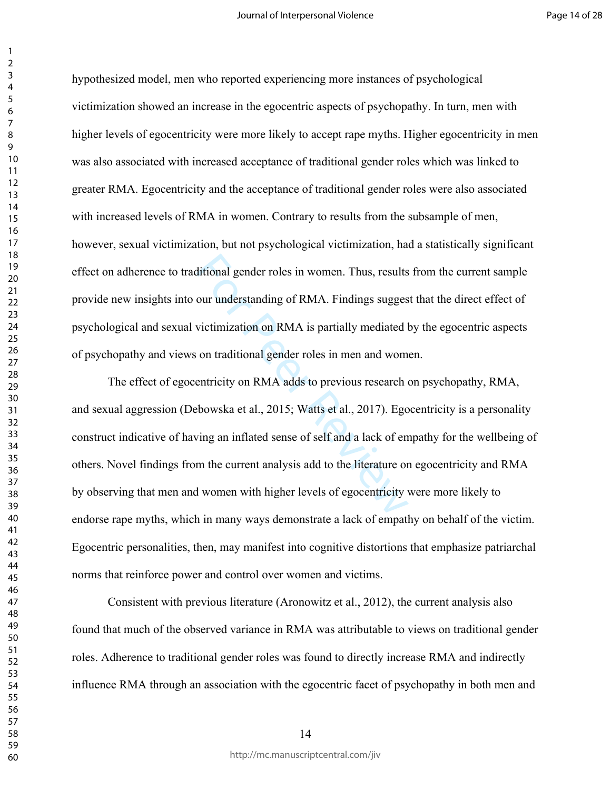hypothesized model, men who reported experiencing more instances of psychological victimization showed an increase in the egocentric aspects of psychopathy. In turn, men with higher levels of egocentricity were more likely to accept rape myths. Higher egocentricity in men was also associated with increased acceptance of traditional gender roles which was linked to greater RMA. Egocentricity and the acceptance of traditional gender roles were also associated with increased levels of RMA in women. Contrary to results from the subsample of men, however, sexual victimization, but not psychological victimization, had a statistically significant effect on adherence to traditional gender roles in women. Thus, results from the current sample provide new insights into our understanding of RMA. Findings suggest that the direct effect of psychological and sexual victimization on RMA is partially mediated by the egocentric aspects of psychopathy and views on traditional gender roles in men and women.

ditional gender roles in women. Thus, results<br>our understanding of RMA. Findings sugges<br>victimization on RMA is partially mediated l<br>on traditional gender roles in men and wom<br>entricity on RMA adds to previous research of<br> The effect of egocentricity on RMA adds to previous research on psychopathy, RMA, and sexual aggression (Debowska et al., 2015; Watts et al., 2017). Egocentricity is a personality construct indicative of having an inflated sense of self and a lack of empathy for the wellbeing of others. Novel findings from the current analysis add to the literature on egocentricity and RMA by observing that men and women with higher levels of egocentricity were more likely to endorse rape myths, which in many ways demonstrate a lack of empathy on behalf of the victim. Egocentric personalities, then, may manifest into cognitive distortions that emphasize patriarchal norms that reinforce power and control over women and victims.

Consistent with previous literature (Aronowitz et al., 2012), the current analysis also found that much of the observed variance in RMA was attributable to views on traditional gender roles. Adherence to traditional gender roles was found to directly increase RMA and indirectly influence RMA through an association with the egocentric facet of psychopathy in both men and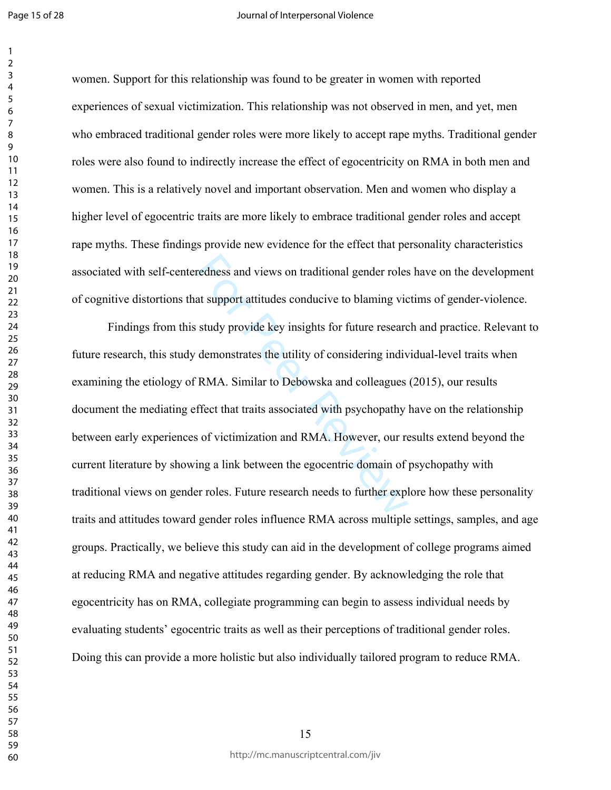Page 15 of 28

 $\mathbf{1}$ 

#### Journal of Interpersonal Violence

women. Support for this relationship was found to be greater in women with reported experiences of sexual victimization. This relationship was not observed in men, and yet, men who embraced traditional gender roles were more likely to accept rape myths. Traditional gender roles were also found to indirectly increase the effect of egocentricity on RMA in both men and women. This is a relatively novel and important observation. Men and women who display a higher level of egocentric traits are more likely to embrace traditional gender roles and accept rape myths. These findings provide new evidence for the effect that personality characteristics associated with self-centeredness and views on traditional gender roles have on the development of cognitive distortions that support attitudes conducive to blaming victims of gender-violence.

redness and views on traditional gender roles<br>at support attitudes conducive to blaming vic<br>study provide key insights for future researc<br>demonstrates the utility of considering indiv<br>RMA. Similar to Debowska and colleague Findings from this study provide key insights for future research and practice. Relevant to future research, this study demonstrates the utility of considering individual-level traits when examining the etiology of RMA. Similar to Debowska and colleagues (2015), our results document the mediating effect that traits associated with psychopathy have on the relationship between early experiences of victimization and RMA. However, our results extend beyond the current literature by showing a link between the egocentric domain of psychopathy with traditional views on gender roles. Future research needs to further explore how these personality traits and attitudes toward gender roles influence RMA across multiple settings, samples, and age groups. Practically, we believe this study can aid in the development of college programs aimed at reducing RMA and negative attitudes regarding gender. By acknowledging the role that egocentricity has on RMA, collegiate programming can begin to assess individual needs by evaluating students' egocentric traits as well as their perceptions of traditional gender roles. Doing this can provide a more holistic but also individually tailored program to reduce RMA.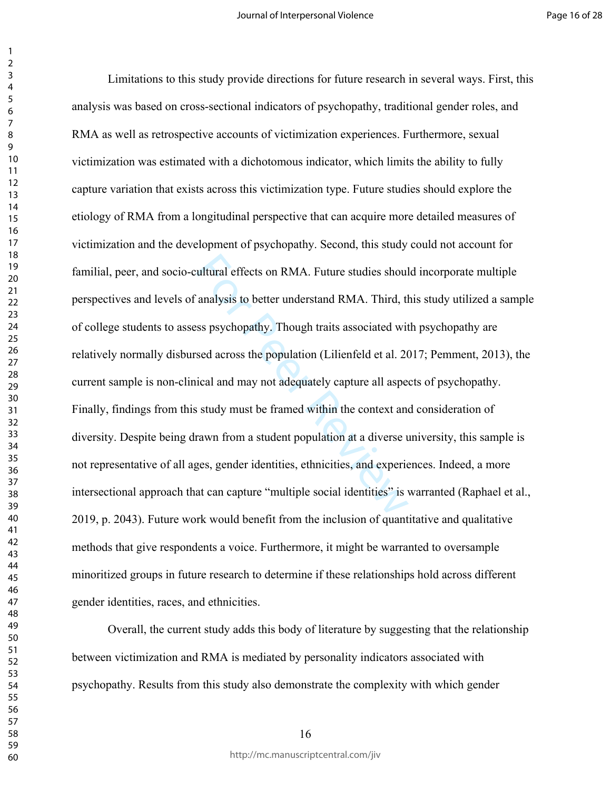ultural effects on RMA. Future studies shoul<br>
analysis to better understand RMA. Third, then<br>
ss psychopathy. Though traits associated wit<br>
sed across the population (Lilienfeld et al. 20<br>
ical and may not adequately captu Limitations to this study provide directions for future research in several ways. First, this analysis was based on cross-sectional indicators of psychopathy, traditional gender roles, and RMA as well as retrospective accounts of victimization experiences. Furthermore, sexual victimization was estimated with a dichotomous indicator, which limits the ability to fully capture variation that exists across this victimization type. Future studies should explore the etiology of RMA from a longitudinal perspective that can acquire more detailed measures of victimization and the development of psychopathy. Second, this study could not account for familial, peer, and socio-cultural effects on RMA. Future studies should incorporate multiple perspectives and levels of analysis to better understand RMA. Third, this study utilized a sample of college students to assess psychopathy. Though traits associated with psychopathy are relatively normally disbursed across the population (Lilienfeld et al. 2017; Pemment, 2013), the current sample is non-clinical and may not adequately capture all aspects of psychopathy. Finally, findings from this study must be framed within the context and consideration of diversity. Despite being drawn from a student population at a diverse university, this sample is not representative of all ages, gender identities, ethnicities, and experiences. Indeed, a more intersectional approach that can capture "multiple social identities" is warranted (Raphael et al., 2019, p. 2043). Future work would benefit from the inclusion of quantitative and qualitative methods that give respondents a voice. Furthermore, it might be warranted to oversample minoritized groups in future research to determine if these relationships hold across different gender identities, races, and ethnicities.

Overall, the current study adds this body of literature by suggesting that the relationship between victimization and RMA is mediated by personality indicators associated with psychopathy. Results from this study also demonstrate the complexity with which gender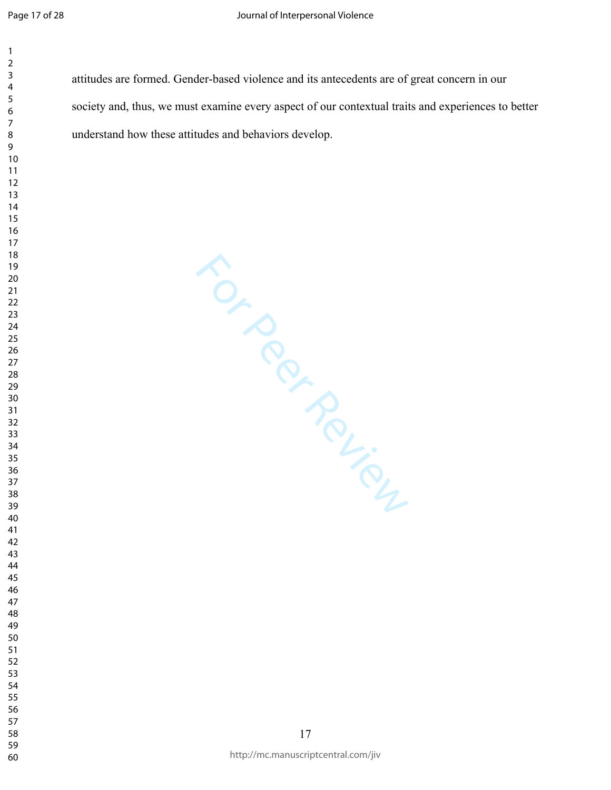attitudes are formed. Gender-based violence and its antecedents are of great concern in our society and, thus, we must examine every aspect of our contextual traits and experiences to better understand how these attitudes and behaviors develop.

For Permien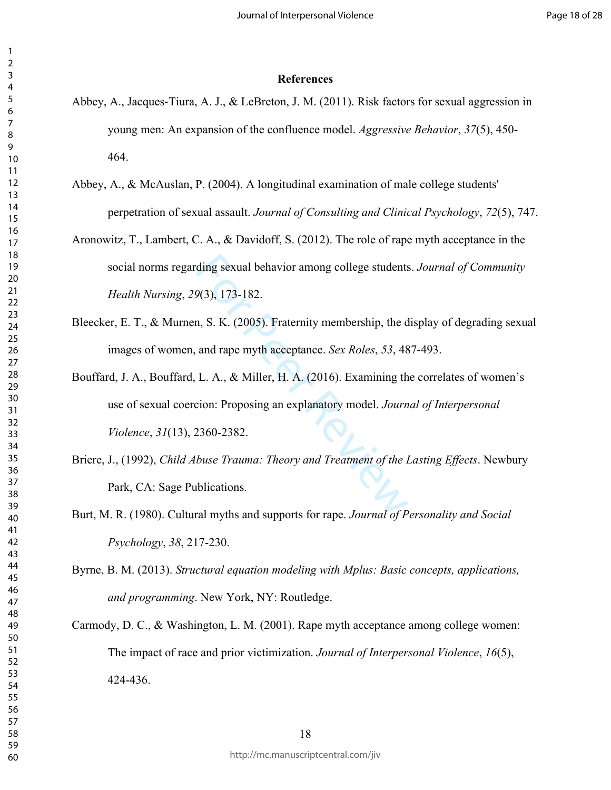#### **References**

- Abbey, A., Jacques‐Tiura, A. J., & LeBreton, J. M. (2011). Risk factors for sexual aggression in young men: An expansion of the confluence model. *Aggressive Behavior*, *37*(5), 450- 464.
- Abbey, A., & McAuslan, P. (2004). A longitudinal examination of male college students' perpetration of sexual assault. *Journal of Consulting and Clinical Psychology*, *72*(5), 747.
- Aronowitz, T., Lambert, C. A., & Davidoff, S. (2012). The role of rape myth acceptance in the social norms regarding sexual behavior among college students. *Journal of Community Health Nursing*, *29*(3), 173-182.
- Bleecker, E. T., & Murnen, S. K. (2005). Fraternity membership, the display of degrading sexual images of women, and rape myth acceptance. *Sex Roles*, *53*, 487-493.
- ding sexual behavior among college students<br> $9(3)$ , 173-182.<br>
n, S. K. (2005). Fraternity membership, the d<br>
and rape myth acceptance. *Sex Roles*, 53, 48<br>
L. A., & Miller, H. A. (2016). Examining th<br>
cion: Proposing an e Bouffard, J. A., Bouffard, L. A., & Miller, H. A. (2016). Examining the correlates of women's use of sexual coercion: Proposing an explanatory model. *Journal of Interpersonal Violence*, *31*(13), 2360-2382.
- Briere, J., (1992), *Child Abuse Trauma: Theory and Treatment of the Lasting Effects*. Newbury Park, CA: Sage Publications.
- Burt, M. R. (1980). Cultural myths and supports for rape. *Journal of Personality and Social Psychology*, *38*, 217-230.
- Byrne, B. M. (2013). *Structural equation modeling with Mplus: Basic concepts, applications, and programming*. New York, NY: Routledge.
- Carmody, D. C., & Washington, L. M. (2001). Rape myth acceptance among college women: The impact of race and prior victimization. *Journal of Interpersonal Violence*, *16*(5), 424-436.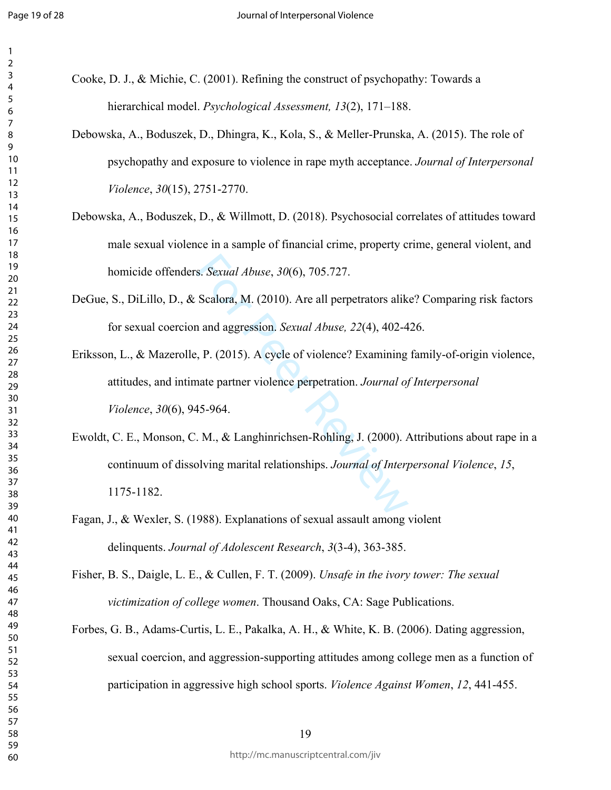- Cooke, D. J., & Michie, C. (2001). Refining the construct of psychopathy: Towards a hierarchical model. *Psychological Assessment, 13*(2), 171–188.
- Debowska, A., Boduszek, D., Dhingra, K., Kola, S., & Meller-Prunska, A. (2015). The role of psychopathy and exposure to violence in rape myth acceptance. *Journal of Interpersonal Violence*, *30*(15), 2751-2770.
- Debowska, A., Boduszek, D., & Willmott, D. (2018). Psychosocial correlates of attitudes toward male sexual violence in a sample of financial crime, property crime, general violent, and homicide offenders. *Sexual Abuse*, *30*(6), 705.727.
- DeGue, S., DiLillo, D., & Scalora, M. (2010). Are all perpetrators alike? Comparing risk factors for sexual coercion and aggression. *Sexual Abuse, 22*(4), 402-426.
- Eriksson, L., & Mazerolle, P. (2015). A cycle of violence? Examining family-of-origin violence, attitudes, and intimate partner violence perpetration. *Journal of Interpersonal Violence*, *30*(6), 945-964.
- s. *Sexual Abuse*, 30(6), 705.727.<br>
Scalora, M. (2010). Are all perpetrators alik<br>
1 and aggression. *Sexual Abuse*, 22(4), 402-4<br>
1, P. (2015). A cycle of violence? Examining<br>
nate partner violence perpetration. *Journal* Ewoldt, C. E., Monson, C. M., & Langhinrichsen-Rohling, J. (2000). Attributions about rape in a continuum of dissolving marital relationships. *Journal of Interpersonal Violence*, *15*, 1175-1182.
- Fagan, J., & Wexler, S. (1988). Explanations of sexual assault among violent delinquents. *Journal of Adolescent Research*, *3*(3-4), 363-385.
- Fisher, B. S., Daigle, L. E., & Cullen, F. T. (2009). *Unsafe in the ivory tower: The sexual victimization of college women*. Thousand Oaks, CA: Sage Publications.
- Forbes, G. B., Adams-Curtis, L. E., Pakalka, A. H., & White, K. B. (2006). Dating aggression, sexual coercion, and aggression-supporting attitudes among college men as a function of participation in aggressive high school sports. *Violence Against Women*, *12*, 441-455.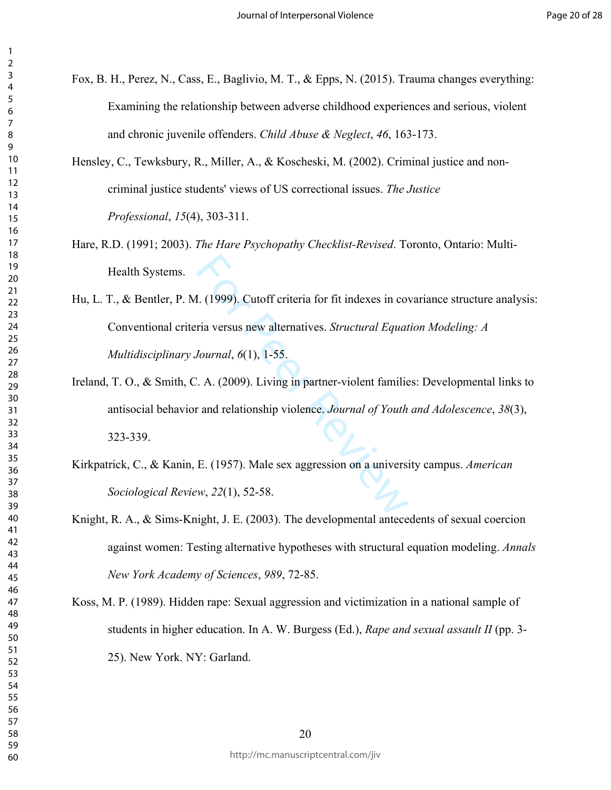- Fox, B. H., Perez, N., Cass, E., Baglivio, M. T., & Epps, N. (2015). Trauma changes everything: Examining the relationship between adverse childhood experiences and serious, violent and chronic juvenile offenders. *Child Abuse & Neglect*, *46*, 163-173.
- Hensley, C., Tewksbury, R., Miller, A., & Koscheski, M. (2002). Criminal justice and noncriminal justice students' views of US correctional issues. *The Justice Professional*, *15*(4), 303-311.
- Hare, R.D. (1991; 2003). *The Hare Psychopathy Checklist-Revised*. Toronto, Ontario: Multi-Health Systems.
- 1. (1999). Cutoff criteria for fit indexes in coveria versus new alternatives. *Structural Equat*<br>
Journal, 6(1), 1-55.<br>  $\therefore$  A. (2009). Living in partner-violent families<br>
r and relationship violence. Journal of Youth<br> Hu, L. T., & Bentler, P. M. (1999). Cutoff criteria for fit indexes in covariance structure analysis: Conventional criteria versus new alternatives. *Structural Equation Modeling: A Multidisciplinary Journal*, *6*(1), 1-55.
- Ireland, T. O., & Smith, C. A. (2009). Living in partner-violent families: Developmental links to antisocial behavior and relationship violence. *Journal of Youth and Adolescence*, *38*(3), 323-339.
- Kirkpatrick, C., & Kanin, E. (1957). Male sex aggression on a university campus. *American Sociological Review*, *22*(1), 52-58.
- Knight, R. A., & Sims-Knight, J. E. (2003). The developmental antecedents of sexual coercion against women: Testing alternative hypotheses with structural equation modeling. *Annals New York Academy of Sciences*, *989*, 72-85.
- Koss, M. P. (1989). Hidden rape: Sexual aggression and victimization in a national sample of students in higher education. In A. W. Burgess (Ed.), *Rape and sexual assault II* (pp. 3- 25). New York. NY: Garland.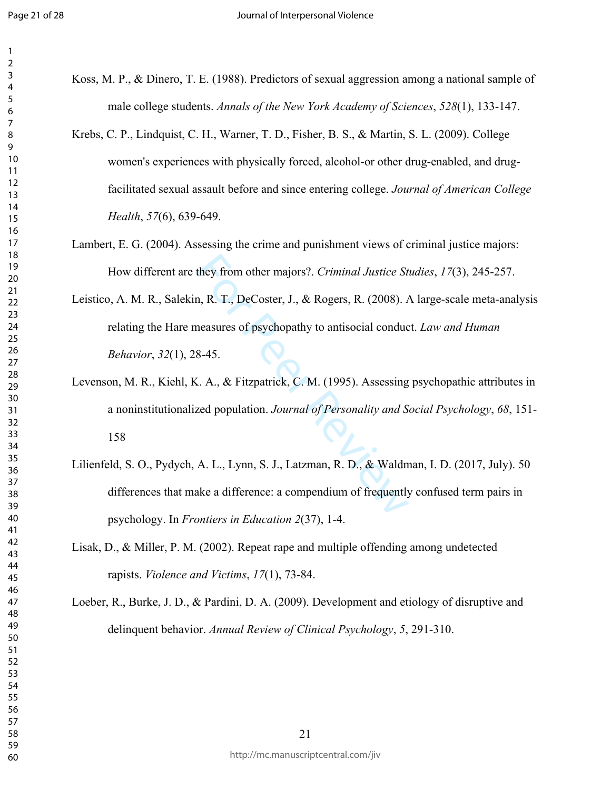Koss, M. P., & Dinero, T. E. (1988). Predictors of sexual aggression among a national sample of male college students. *Annals of the New York Academy of Sciences*, *528*(1), 133-147. Krebs, C. P., Lindquist, C. H., Warner, T. D., Fisher, B. S., & Martin, S. L. (2009). College women's experiences with physically forced, alcohol-or other drug-enabled, and drugfacilitated sexual assault before and since entering college. *Journal of American College* 

*Health*, *57*(6), 639-649.

- Lambert, E. G. (2004). Assessing the crime and punishment views of criminal justice majors: How different are they from other majors?. *Criminal Justice Studies*, *17*(3), 245-257.
- they from other majors?. *Criminal Justice St*<br>n, R. T., DeCoster, J., & Rogers, R. (2008). *A*<br>neasures of psychopathy to antisocial conduc<br>8-45.<br>Z. A., & Fitzpatrick, C. M. (1995). Assessing<br>zed population. *Journal of P* Leistico, A. M. R., Salekin, R. T., DeCoster, J., & Rogers, R. (2008). A large-scale meta-analysis relating the Hare measures of psychopathy to antisocial conduct. *Law and Human Behavior*, *32*(1), 28-45.
- Levenson, M. R., Kiehl, K. A., & Fitzpatrick, C. M. (1995). Assessing psychopathic attributes in a noninstitutionalized population. *Journal of Personality and Social Psychology*, *68*, 151-
- Lilienfeld, S. O., Pydych, A. L., Lynn, S. J., Latzman, R. D., & Waldman, I. D. (2017, July). 50 differences that make a difference: a compendium of frequently confused term pairs in psychology. In *Frontiers in Education 2*(37), 1-4.
- Lisak, D., & Miller, P. M. (2002). Repeat rape and multiple offending among undetected rapists. *Violence and Victims*, *17*(1), 73-84.

Loeber, R., Burke, J. D., & Pardini, D. A. (2009). Development and etiology of disruptive and delinquent behavior. *Annual Review of Clinical Psychology*, *5*, 291-310.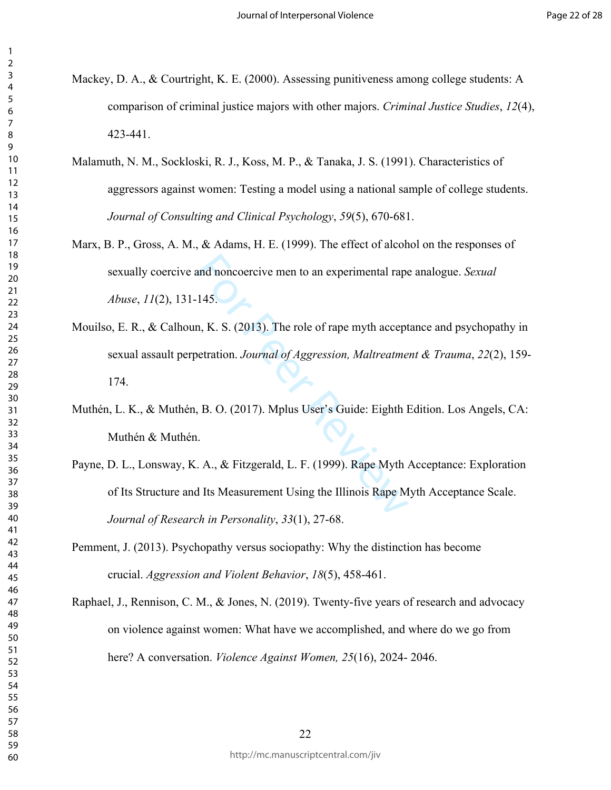- Mackey, D. A., & Courtright, K. E. (2000). Assessing punitiveness among college students: A comparison of criminal justice majors with other majors. *Criminal Justice Studies*, *12*(4), 423-441.
- Malamuth, N. M., Sockloski, R. J., Koss, M. P., & Tanaka, J. S. (1991). Characteristics of aggressors against women: Testing a model using a national sample of college students. *Journal of Consulting and Clinical Psychology*, *59*(5), 670-681.
- Marx, B. P., Gross, A. M., & Adams, H. E. (1999). The effect of alcohol on the responses of sexually coercive and noncoercive men to an experimental rape analogue. *Sexual Abuse*, *11*(2), 131-145.
- and noncoercive men to an experimental rape<br>
145.<br>
In, K. S. (2013). The role of rape myth accept<br>
betration. *Journal of Aggression*, *Maltreatme*<br>
1.<br>
B. O. (2017). Mplus User's Guide: Eighth I<br>
1.<br>
L. A., & Fitzgerald, Mouilso, E. R., & Calhoun, K. S. (2013). The role of rape myth acceptance and psychopathy in sexual assault perpetration. *Journal of Aggression, Maltreatment & Trauma*, *22*(2), 159- 174.
- Muthén, L. K., & Muthén, B. O. (2017). Mplus User's Guide: Eighth Edition. Los Angels, CA: Muthén & Muthén.
- Payne, D. L., Lonsway, K. A., & Fitzgerald, L. F. (1999). Rape Myth Acceptance: Exploration of Its Structure and Its Measurement Using the Illinois Rape Myth Acceptance Scale. *Journal of Research in Personality*, *33*(1), 27-68.
- Pemment, J. (2013). Psychopathy versus sociopathy: Why the distinction has become crucial. *Aggression and Violent Behavior*, *18*(5), 458-461.
- Raphael, J., Rennison, C. M., & Jones, N. (2019). Twenty-five years of research and advocacy on violence against women: What have we accomplished, and where do we go from here? A conversation. *Violence Against Women, 25*(16), 2024- 2046.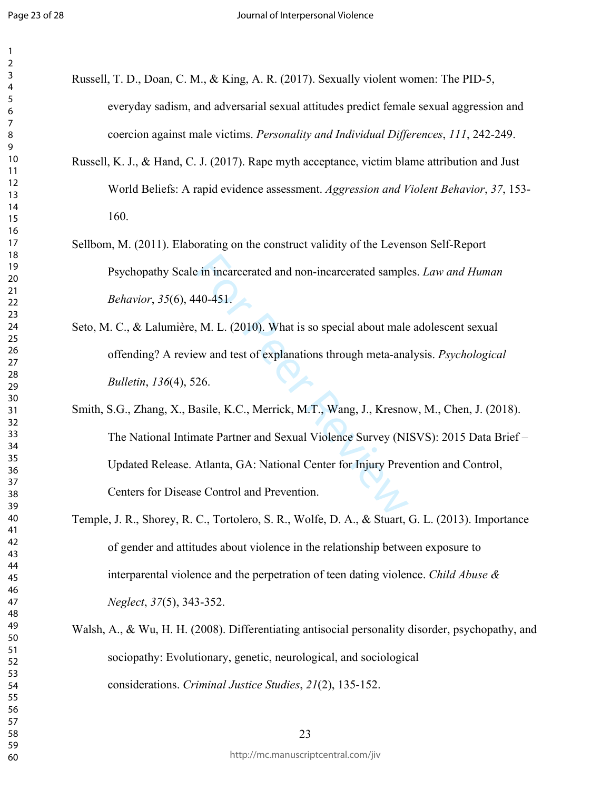$\mathbf{1}$  $\overline{2}$ 

- Russell, T. D., Doan, C. M., & King, A. R. (2017). Sexually violent women: The PID-5, everyday sadism, and adversarial sexual attitudes predict female sexual aggression and coercion against male victims. *Personality and Individual Differences*, *111*, 242-249.
	- Russell, K. J., & Hand, C. J. (2017). Rape myth acceptance, victim blame attribution and Just World Beliefs: A rapid evidence assessment. *Aggression and Violent Behavior*, *37*, 153- 160.
	- Sellbom, M. (2011). Elaborating on the construct validity of the Levenson Self-Report Psychopathy Scale in incarcerated and non-incarcerated samples. *Law and Human Behavior*, *35*(6), 440-451.
	- Seto, M. C., & Lalumière, M. L. (2010). What is so special about male adolescent sexual offending? A review and test of explanations through meta-analysis. *Psychological Bulletin*, *136*(4), 526.
	- E in incarcerated and non-incarcerated sample<br>40-451.<br>M. L. (2010). What is so special about male<br>w and test of explanations through meta-ana<br>26.<br>asile, K.C., Merrick, M.T., Wang, J., Kresno<br>nate Partner and Sexual Violenc Smith, S.G., Zhang, X., Basile, K.C., Merrick, M.T., Wang, J., Kresnow, M., Chen, J. (2018). The National Intimate Partner and Sexual Violence Survey (NISVS): 2015 Data Brief – Updated Release. Atlanta, GA: National Center for Injury Prevention and Control, Centers for Disease Control and Prevention.
- Temple, J. R., Shorey, R. C., Tortolero, S. R., Wolfe, D. A., & Stuart, G. L. (2013). Importance of gender and attitudes about violence in the relationship between exposure to interparental violence and the perpetration of teen dating violence. *Child Abuse & Neglect*, *37*(5), 343-352.
- Walsh, A., & Wu, H. H. (2008). Differentiating antisocial personality disorder, psychopathy, and sociopathy: Evolutionary, genetic, neurological, and sociological considerations. *Criminal Justice Studies*, *21*(2), 135-152.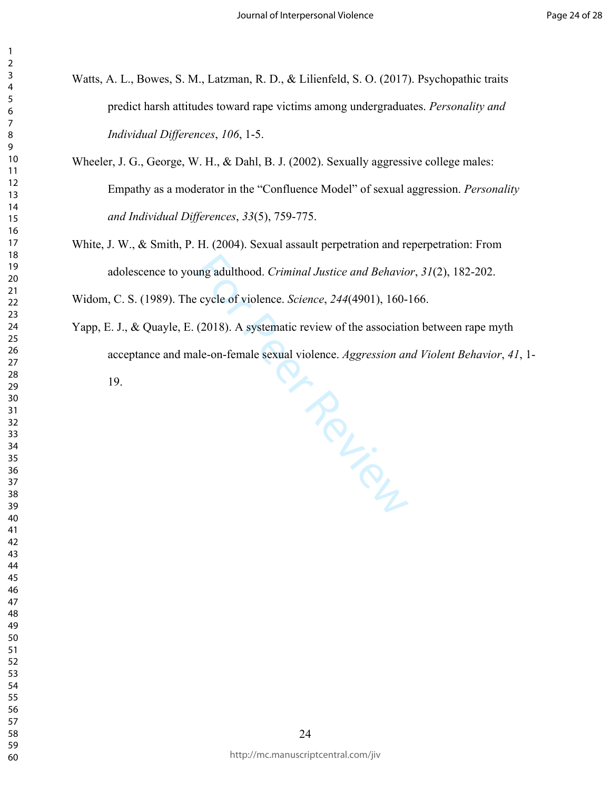- Watts, A. L., Bowes, S. M., Latzman, R. D., & Lilienfeld, S. O. (2017). Psychopathic traits predict harsh attitudes toward rape victims among undergraduates. *Personality and Individual Differences*, *106*, 1-5.
- Wheeler, J. G., George, W. H., & Dahl, B. J. (2002). Sexually aggressive college males: Empathy as a moderator in the "Confluence Model" of sexual aggression. *Personality and Individual Differences*, *33*(5), 759-775.
- White, J. W., & Smith, P. H. (2004). Sexual assault perpetration and reperpetration: From adolescence to young adulthood. *Criminal Justice and Behavior*, *31*(2), 182-202.

Widom, C. S. (1989). The cycle of violence. *Science*, *244*(4901), 160-166.

Yapp, E. J., & Quayle, E. (2018). A systematic review of the association between rape myth acceptance and male-on-female sexual violence. *Aggression and Violent Behavior*, *41*, 1-

19.

**FROUGHAMENT**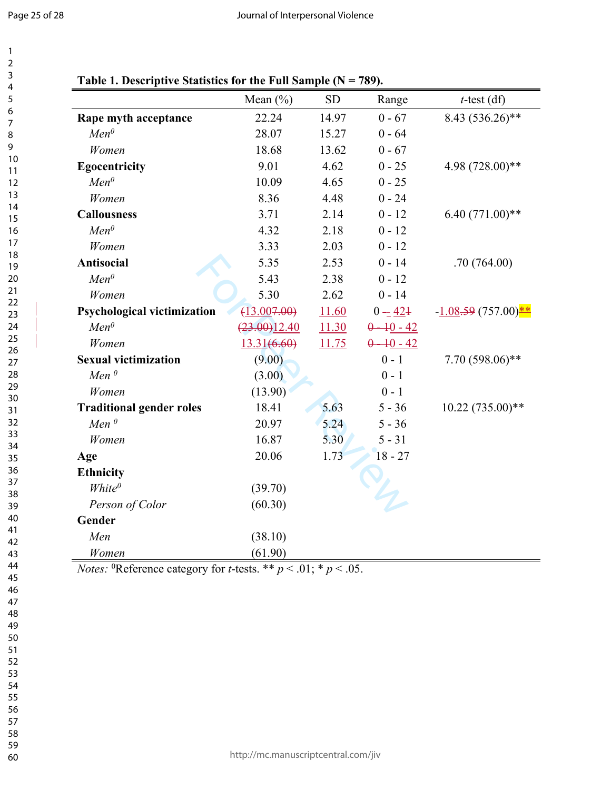| 1<br>2                  |  |
|-------------------------|--|
| 3                       |  |
| 4<br>5                  |  |
| 6                       |  |
| 8<br>9                  |  |
| 10<br>$\mathbf{1}$<br>1 |  |
| $\overline{12}$         |  |
| 13<br>14                |  |
| 15<br>16                |  |
| 1<br>8<br>1             |  |
| 19<br>20                |  |
| 21<br>22                |  |
| $^{23}$<br>24           |  |
| 25                      |  |
| 26<br>27                |  |
| 28<br>29                |  |
| 30<br>31                |  |
| 32<br>33                |  |
| 34<br>5<br>3            |  |
| 36<br>37                |  |
| 88                      |  |
| 39<br>40                |  |
| 41<br>42                |  |
| 43<br>44                |  |
| 45<br>46                |  |
| 47<br>48                |  |
| 49<br>50                |  |
| 51                      |  |
| 52<br>53                |  |
| 54<br>55                |  |
| 56<br>5.                |  |
| 58<br>59                |  |

60

| Table 1. Descriptive Statistics for the Full Sample ( $N = 789$ ). |  |  |  |
|--------------------------------------------------------------------|--|--|--|
|                                                                    |  |  |  |

|                                    | Mean $(\% )$ | <b>SD</b> | Range         | $t$ -test (df)       |
|------------------------------------|--------------|-----------|---------------|----------------------|
| Rape myth acceptance               | 22.24        | 14.97     | $0 - 67$      | 8.43 (536.26)**      |
| $Men^{0}$                          | 28.07        | 15.27     | $0 - 64$      |                      |
| Women                              | 18.68        | 13.62     | $0 - 67$      |                      |
| <b>Egocentricity</b>               | 9.01         | 4.62      | $0 - 25$      | 4.98 (728.00)**      |
| $Men^{0}$                          | 10.09        | 4.65      | $0 - 25$      |                      |
| Women                              | 8.36         | 4.48      | $0 - 24$      |                      |
| <b>Callousness</b>                 | 3.71         | 2.14      | $0 - 12$      | $6.40(771.00)**$     |
| $Men^{0}$                          | 4.32         | 2.18      | $0 - 12$      |                      |
| Women                              | 3.33         | 2.03      | $0 - 12$      |                      |
| <b>Antisocial</b>                  | 5.35         | 2.53      | $0 - 14$      | .70(764.00)          |
| $Men^{0}$                          | 5.43         | 2.38      | $0 - 12$      |                      |
| Women                              | 5.30         | 2.62      | $0 - 14$      |                      |
| <b>Psychological victimization</b> | (13.007.00)  | 11.60     | $0 - 42 +$    | $-1.08.59(757.00)**$ |
| $Men^{0}$                          | (23.00)12.40 | 11.30     | $0 - 10 - 42$ |                      |
| Women                              | 13.31(6.60)  | 11.75     | $0 - 10 - 42$ |                      |
| <b>Sexual victimization</b>        | (9.00)       |           | $0 - 1$       | $7.70(598.06)$ **    |
| Men $^0$                           | (3.00)       |           | $0 - 1$       |                      |
| Women                              | (13.90)      |           | $0 - 1$       |                      |
| <b>Traditional gender roles</b>    | 18.41        | 5.63      | $5 - 36$      | $10.22(735.00)**$    |
| Men $^0$                           | 20.97        | 5.24      | $5 - 36$      |                      |
| Women                              | 16.87        | 5.30      | $5 - 31$      |                      |
| Age                                | 20.06        | 1.73      | $18 - 27$     |                      |
| <b>Ethnicity</b>                   |              |           |               |                      |
| White <sup>0</sup>                 | (39.70)      |           |               |                      |
| Person of Color                    | (60.30)      |           |               |                      |
| Gender                             |              |           |               |                      |
| Men                                | (38.10)      |           |               |                      |
| Women                              | (61.90)      |           |               |                      |

*Notes:* <sup>0</sup>Reference category for *t*-tests. \*\*  $p < .01$ ; \*  $p < .05$ .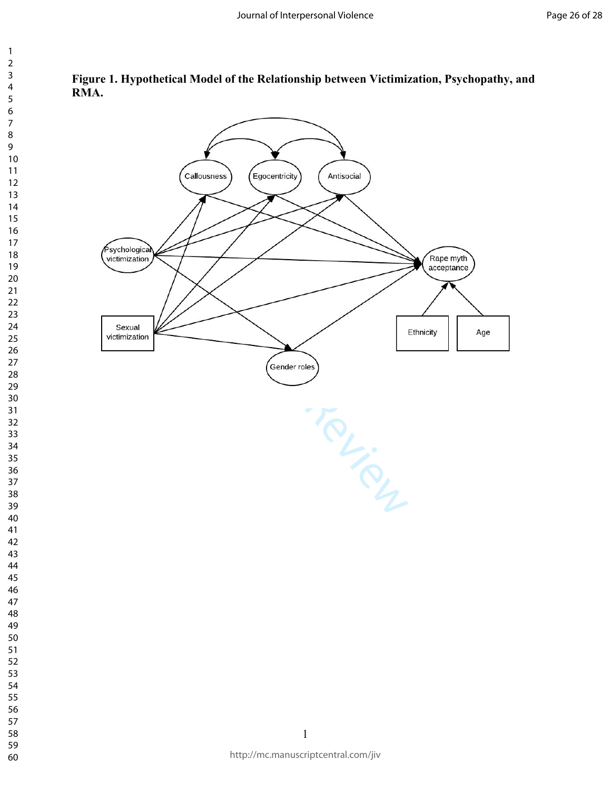

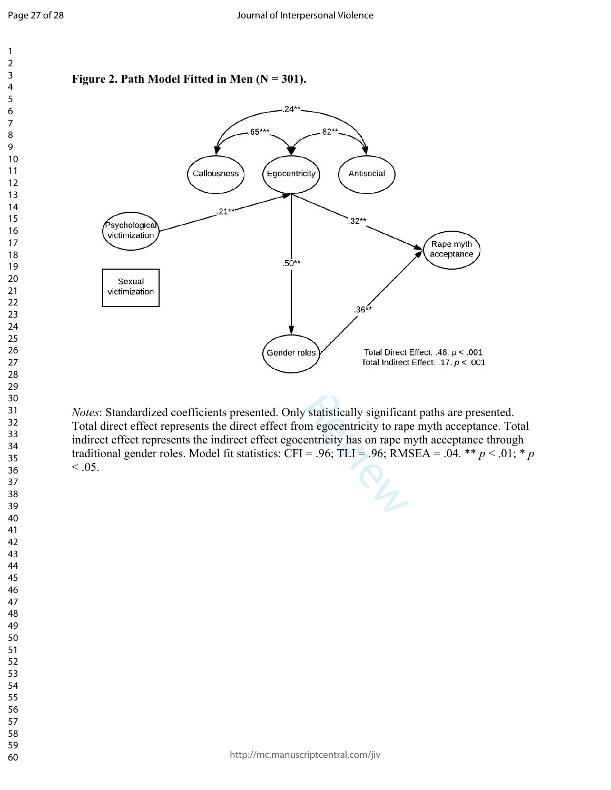



*Notes*: Standardized coefficients presented. Only statistically significant paths are presented. Total direct effect represents the direct effect from egocentricity to rape myth acceptance. Total indirect effect represents the indirect effect egocentricity has on rape myth acceptance through traditional gender roles. Model fit statistics: CFI = .96; TLI = .96; RMSEA = .04. \*\*  $p < .01$ ; \*  $p$  $< 0.05$ .